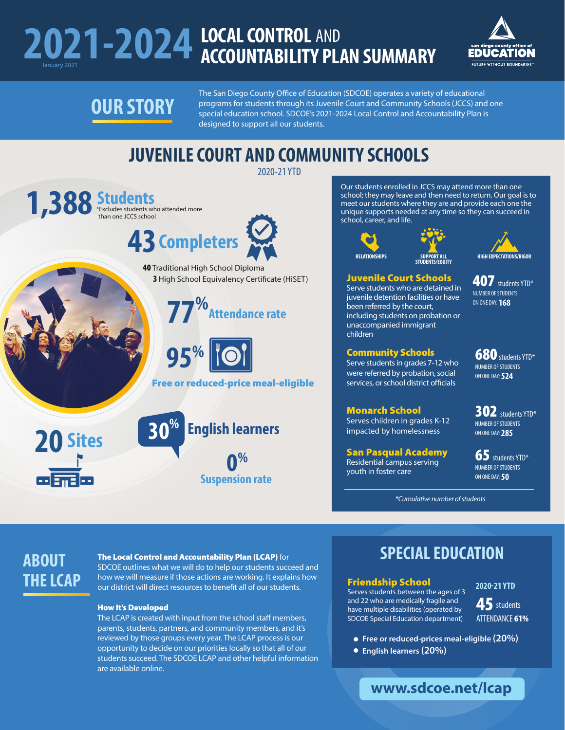### **2021-2024** LOCAL CONTROL **ACCOUNTABILITY PLAN SUMMARY**  AND



# **OUR STORY**

The San Diego County Office of Education (SDCOE) operates a variety of educational programs for students through its Juvenile Court and Community Schools (JCCS) and one special education school. SDCOE's 2021-2024 Local Control and Accountability Plan is designed to support all our students.

### **JUVENILE COURT AND COMMUNITY SCHOOLS**



2020-21 YTD

Our students enrolled in JCCS may attend more than one school; they may leave and then need to return. Our goal is to meet our students where they are and provide each one the unique supports needed at any time so they can succeed in school, career, and life.

**STUDENTS/EQUITY**

**RELATIONSHIPS** 



**HIGH EXPECTATIONS/RIGOR**

407 students YTD\* NUMBER OF STUDENTS ON ONE DAY: **168**

#### Juvenile Court Schools

Serve students who are detained in juvenile detention facilities or have been referred by the court, including students on probation or unaccompanied immigrant children

#### Community Schools

Serve students in grades 7-12 who were referred by probation, social services, or school district officials

Monarch School Serves children in grades K-12 impacted by homelessness

San Pasqual Academy Residential campus serving youth in foster care

680 students YTD\* NUMBER OF STUDENTS ON ONE DAY: **524**

302 students YTD\* NUMBER OF STUDENTS ON ONE DAY: **285**

65 students YTD\* NUMBER OF STUDENTS ON ONE DAY: **50**

*\*Cumulative number of students*

### **ABOUT THE LCAP**

#### The Local Control and Accountability Plan (LCAP) for

SDCOE outlines what we will do to help our students succeed and how we will measure if those actions are working. It explains how our district will direct resources to benefit all of our students.

#### How It's Developed

The LCAP is created with input from the school staff members, parents, students, partners, and community members, and it's reviewed by those groups every year. The LCAP process is our opportunity to decide on our priorities locally so that all of our students succeed. The SDCOE LCAP and other helpful information are available online.

### **SPECIAL EDUCATION**

#### Friendship School

Serves students between the ages of 3 and 22 who are medically fragile and have multiple disabilities (operated by SDCOE Special Education department)

**2020-21 YTD**

45 students ATTENDANCE 61%

- **Free or reduced-prices meal-eligible (20%)**
- **English learners (20%)**

**www.sdcoe.net/lcap**